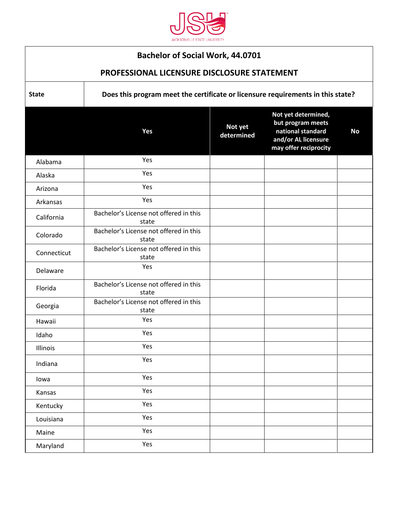

## **Bachelor of Social Work, 44.0701**

## **PROFESSIONAL LICENSURE DISCLOSURE STATEMENT**

**State Does this program meet the certificate or licensure requirements in this state?** 

|             | Yes                                             | Not yet<br>determined | Not yet determined,<br>but program meets<br>national standard<br>and/or AL licensure<br>may offer reciprocity | <b>No</b> |
|-------------|-------------------------------------------------|-----------------------|---------------------------------------------------------------------------------------------------------------|-----------|
| Alabama     | Yes                                             |                       |                                                                                                               |           |
| Alaska      | Yes                                             |                       |                                                                                                               |           |
| Arizona     | Yes                                             |                       |                                                                                                               |           |
| Arkansas    | Yes                                             |                       |                                                                                                               |           |
| California  | Bachelor's License not offered in this<br>state |                       |                                                                                                               |           |
| Colorado    | Bachelor's License not offered in this<br>state |                       |                                                                                                               |           |
| Connecticut | Bachelor's License not offered in this<br>state |                       |                                                                                                               |           |
| Delaware    | Yes                                             |                       |                                                                                                               |           |
| Florida     | Bachelor's License not offered in this<br>state |                       |                                                                                                               |           |
| Georgia     | Bachelor's License not offered in this<br>state |                       |                                                                                                               |           |
| Hawaii      | Yes                                             |                       |                                                                                                               |           |
| Idaho       | Yes                                             |                       |                                                                                                               |           |
| Illinois    | Yes                                             |                       |                                                                                                               |           |
| Indiana     | Yes                                             |                       |                                                                                                               |           |
| lowa        | Yes                                             |                       |                                                                                                               |           |
| Kansas      | Yes                                             |                       |                                                                                                               |           |
| Kentucky    | Yes                                             |                       |                                                                                                               |           |
| Louisiana   | Yes                                             |                       |                                                                                                               |           |
| Maine       | Yes                                             |                       |                                                                                                               |           |
| Maryland    | Yes                                             |                       |                                                                                                               |           |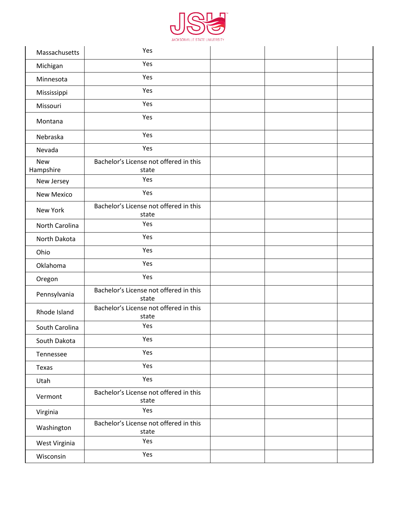

| Massachusetts           | Yes                                             |  |  |
|-------------------------|-------------------------------------------------|--|--|
| Michigan                | Yes                                             |  |  |
| Minnesota               | Yes                                             |  |  |
| Mississippi             | Yes                                             |  |  |
| Missouri                | Yes                                             |  |  |
| Montana                 | Yes                                             |  |  |
| Nebraska                | Yes                                             |  |  |
| Nevada                  | Yes                                             |  |  |
| <b>New</b><br>Hampshire | Bachelor's License not offered in this<br>state |  |  |
| New Jersey              | Yes                                             |  |  |
| <b>New Mexico</b>       | Yes                                             |  |  |
| New York                | Bachelor's License not offered in this<br>state |  |  |
| North Carolina          | Yes                                             |  |  |
| North Dakota            | Yes                                             |  |  |
| Ohio                    | Yes                                             |  |  |
| Oklahoma                | Yes                                             |  |  |
| Oregon                  | Yes                                             |  |  |
| Pennsylvania            | Bachelor's License not offered in this<br>state |  |  |
| Rhode Island            | Bachelor's License not offered in this<br>state |  |  |
| South Carolina          | Yes                                             |  |  |
| South Dakota            | Yes                                             |  |  |
| Tennessee               | Yes                                             |  |  |
| Texas                   | Yes                                             |  |  |
| Utah                    | Yes                                             |  |  |
| Vermont                 | Bachelor's License not offered in this<br>state |  |  |
| Virginia                | Yes                                             |  |  |
| Washington              | Bachelor's License not offered in this<br>state |  |  |
| West Virginia           | Yes                                             |  |  |
| Wisconsin               | Yes                                             |  |  |